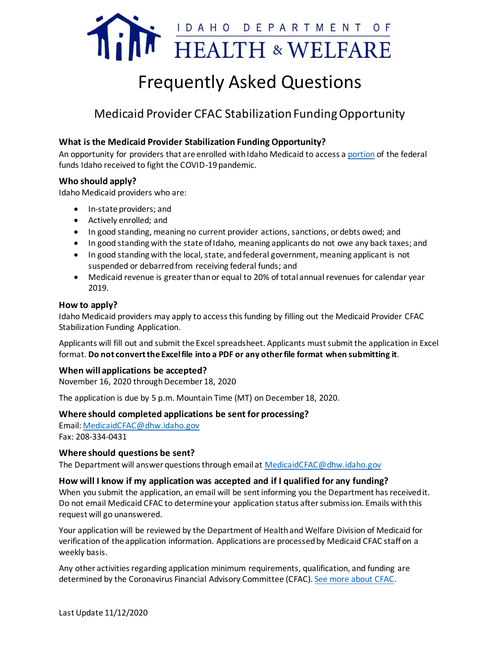

# Frequently Asked Questions

# Medicaid Provider CFAC Stabilization Funding Opportunity

#### **What is the Medicaid Provider Stabilization Funding Opportunity?**

An opportunity for providers that are enrolled with Idaho Medicaid to access [a portion](https://coronavirus.idaho.gov/wp-content/uploads/2020/09/gov-approval-funding-recommendations-9.25.2020.pdf) of the federal funds Idaho received to fight the COVID-19 pandemic.

#### **Who should apply?**

Idaho Medicaid providers who are:

- In-state providers; and
- Actively enrolled; and
- In good standing, meaning no current provider actions, sanctions, or debts owed; and
- In good standing with the state of Idaho, meaning applicants do not owe any back taxes; and
- In good standing with the local, state, and federal government, meaning applicant is not suspended or debarred from receiving federal funds; and
- Medicaid revenue is greater than or equal to 20% of total annual revenues for calendar year 2019.

#### **How to apply?**

Idaho Medicaid providers may apply to access this funding by filling out the Medicaid Provider CFAC Stabilization Funding Application.

Applicants will fill out and submit the Excel spreadsheet. Applicants mustsubmit the application in Excel format. **Do not convert the Excel file into a PDF or any other file format when submitting it**.

#### **When will applications be accepted?**

November 16, 2020 through December 18, 2020

The application is due by 5 p.m. Mountain Time (MT) on December 18, 2020.

#### **Where should completed applications be sent for processing?**

Email: [MedicaidCFAC@dhw.idaho.gov](mailto:MedicaidCFAC@dhw.idaho.gov?subject=Mediciad%20Provider%20CFAC%20Assistance%20Application) Fax: 208-334-0431

#### **Where should questions be sent?**

The Department will answer questions through email at [MedicaidCFAC@dhw.idaho.gov](mailto:MedicaidCFAC@dhw.idaho.gov?subject=Medicaid%20CFAC%20Question)

#### **How will I know if my application was accepted and if I qualified for any funding?**

When you submit the application, an email will be sent informing you the Department has received it. Do not email Medicaid CFAC to determine your application status after submission. Emails with this request will go unanswered.

Your application will be reviewed by the Department of Health and Welfare Division of Medicaid for verification of the application information. Applications are processed by Medicaid CFAC staff on a weekly basis.

Any other activities regarding application minimum requirements, qualification, and funding are determined by the Coronavirus Financial Advisory Committee (CFAC). [See more about CFAC.](https://coronavirus.idaho.gov/coronavirus-financial-advisory-committee/)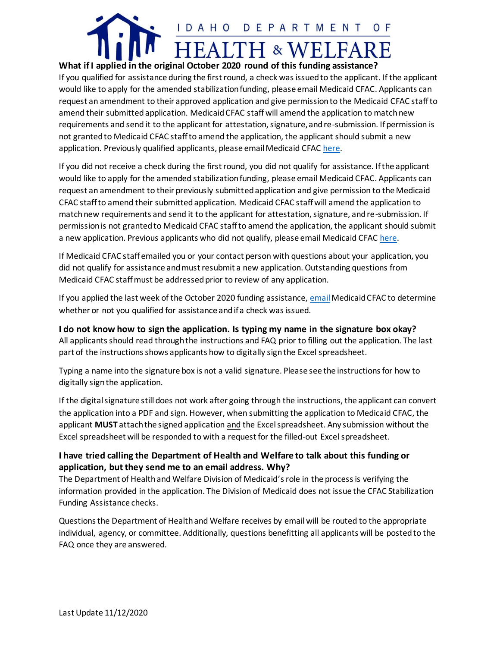

**What if I applied in the original October 2020 round of this funding assistance?** If you qualified for assistance during the first round, a check was issued to the applicant. If the applicant would like to apply for the amended stabilization funding, please email Medicaid CFAC. Applicants can request an amendment to their approved application and give permission to the Medicaid CFAC staff to amend their submittedapplication. Medicaid CFAC staff will amend the application to match new requirements and send it to the applicant for attestation, signature, and re-submission. If permission is not granted to Medicaid CFAC staff to amend the application, the applicant should submit a new application. Previously qualified applicants, please email Medicaid CFA[C here.](mailto:MedicaidCFAC@dhw.idaho.gov?subject=ACTION:%20Approved%20Applicant%20Request%20for%20Re-Evaluation)

If you did not receive a check during the first round, you did not qualify for assistance. If the applicant would like to apply for the amended stabilization funding, please email Medicaid CFAC. Applicants can request an amendment to their previously submitted application and give permission to the Medicaid CFAC staff to amend their submittedapplication. Medicaid CFAC staff will amend the application to match new requirements and send it to the applicant for attestation, signature, and re-submission. If permission is not granted to Medicaid CFAC staff to amend the application, the applicant should submit a new application. Previous applicants who did not qualify, please email Medicaid CFA[C here.](mailto:MedicaidCFAC@dhw.idaho.gov?subject=ACTION:%20Request%20for%20Re-Evaluation)

If Medicaid CFAC staff emailed you or your contact person with questions about your application, you did not qualify for assistance and must resubmit a new application. Outstanding questions from Medicaid CFAC staff must be addressed prior to review of any application.

If you applied the last week of the October 2020 funding assistance[, email](mailto:MedicaidCFAC@dhw.idaho.gov?subject=REQUEST:%20Application%20Status) Medicaid CFAC to determine whether or not you qualified for assistance and if a check was issued.

# **I do not know how to sign the application. Is typing my name in the signature box okay?**

All applicants should read through the instructions and FAQ prior to filling out the application. The last part of the instructions shows applicants how to digitally sign the Excel spreadsheet.

Typing a name into the signature box is not a valid signature. Please see the instructions for how to digitally sign the application.

If the digital signature still does not work after going through the instructions, the applicant can convert the application into a PDF and sign. However, when submitting the application to Medicaid CFAC, the applicant **MUST** attach the signed application and the Excel spreadsheet. Any submission without the Excel spreadsheet will be responded to with a request for the filled-out Excel spreadsheet.

# **I have tried calling the Department of Health and Welfare to talk about this funding or application, but they send me to an email address. Why?**

The Department of Health and Welfare Division of Medicaid's role in the process is verifying the information provided in the application. The Division of Medicaid does not issue the CFAC Stabilization Funding Assistance checks.

Questions the Department of Health and Welfare receives by email will be routed to the appropriate individual, agency, or committee. Additionally, questions benefitting all applicants will be posted to the FAQ once they are answered.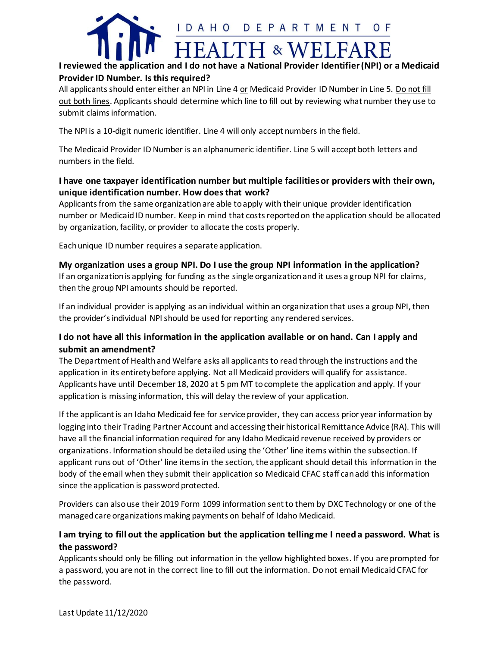

# **I reviewed the application and I do not have a National Provider Identifier (NPI) or a Medicaid Provider ID Number. Is this required?**

All applicants should enter either an NPI in Line 4 or Medicaid Provider ID Number in Line 5. Do not fill out both lines. Applicants should determine which line to fill out by reviewing what number they use to submit claims information.

The NPI is a 10-digit numeric identifier. Line 4 will only accept numbers in the field.

The Medicaid Provider ID Number is an alphanumeric identifier. Line 5 will accept both letters and numbers in the field.

# **I have one taxpayer identification number but multiple facilities or providers with their own, unique identification number. How does that work?**

Applicants from the same organization are able to apply with their unique provider identification number or Medicaid ID number. Keep in mind that costs reported on the application should be allocated by organization, facility, or provider to allocate the costs properly.

Each unique ID number requires a separate application.

# **My organization uses a group NPI. Do I use the group NPI information in the application?**

If an organization is applying for funding as the single organization and it uses a group NPI for claims, then the group NPI amounts should be reported.

If an individual provider is applying as an individual within an organization that uses a group NPI, then the provider's individual NPI should be used for reporting any rendered services.

# **I do not have all this information in the application available or on hand. Can I apply and submit an amendment?**

The Department of Health and Welfare asks all applicants to read through the instructions and the application in its entirety before applying. Not all Medicaid providers will qualify for assistance. Applicants have until December 18, 2020 at 5 pm MT to complete the application and apply. If your application is missing information, this will delay the review of your application.

If the applicant is an Idaho Medicaid fee for service provider, they can access prior year information by logging into their Trading Partner Account and accessing their historical Remittance Advice (RA). This will have all the financial information required for any Idaho Medicaid revenue received by providers or organizations. Information should be detailed using the 'Other' line items within the subsection. If applicant runs out of 'Other' line items in the section, the applicant should detail this information in the body of the email when they submit their application so Medicaid CFAC staff can add this information since the application is password protected.

Providers can also use their 2019 Form 1099 information sent to them by DXC Technology or one of the managed care organizations making payments on behalf of Idaho Medicaid.

# **I am trying to fill out the application but the application telling me I need a password. What is the password?**

Applicants should only be filling out information in the yellow highlighted boxes. If you are prompted for a password, you are not in the correct line to fill out the information. Do not email Medicaid CFAC for the password.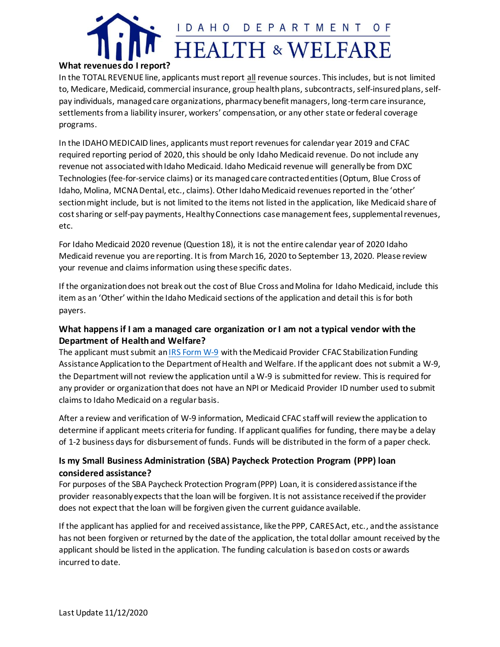

#### **What revenues do I report?**

In the TOTAL REVENUE line, applicants must report all revenue sources. This includes, but is not limited to, Medicare, Medicaid, commercial insurance, group health plans, subcontracts, self-insured plans, selfpay individuals, managed care organizations, pharmacy benefit managers, long-term care insurance, settlements from a liability insurer, workers' compensation, or any other state or federal coverage programs.

In the IDAHO MEDICAID lines, applicants must report revenuesfor calendar year 2019 and CFAC required reporting period of 2020, this should be only Idaho Medicaid revenue. Do not include any revenue not associated with Idaho Medicaid. Idaho Medicaid revenue will generallybe from DXC Technologies (fee-for-service claims) or its managed care contracted entities (Optum, Blue Cross of Idaho, Molina, MCNA Dental, etc., claims). Other Idaho Medicaid revenues reported in the 'other' section might include, but is not limited to the items not listed in the application, like Medicaid share of cost sharing or self-pay payments, Healthy Connections case management fees, supplemental revenues, etc.

For Idaho Medicaid 2020 revenue (Question 18), it is not the entire calendar year of 2020 Idaho Medicaid revenue you are reporting. It is from March 16, 2020 to September 13, 2020. Please review your revenue and claims information using these specific dates.

If the organization does not break out the cost of Blue Cross and Molina for Idaho Medicaid, include this item as an 'Other' within the Idaho Medicaid sections of the application and detail this is for both payers.

# **What happens if I am a managed care organization or I am not a typical vendor with the Department of Health and Welfare?**

The applicant must submit anIRS [Form W-9](https://www.irs.gov/pub/irs-pdf/fw9.pdf) with the Medicaid Provider CFAC Stabilization Funding Assistance Application to the Department of Health and Welfare. If the applicant does not submit a W-9, the Department will not review the application until a W-9 is submitted for review. This is required for any provider or organization that does not have an NPI or Medicaid Provider ID number used to submit claims to Idaho Medicaid on a regular basis.

After a review and verification of W-9 information, Medicaid CFAC staff will review the application to determine if applicant meets criteria for funding. If applicant qualifies for funding, there may be a delay of 1-2 business days for disbursement of funds. Funds will be distributed in the form of a paper check.

# **Is my Small Business Administration (SBA) Paycheck Protection Program (PPP) loan considered assistance?**

For purposes of the SBA Paycheck Protection Program (PPP) Loan, it is considered assistance if the provider reasonably expects that the loan will be forgiven. It is not assistance received if the provider does not expect that the loan will be forgiven given the current guidance available.

If the applicant has applied for and received assistance, like the PPP, CARES Act, etc., and the assistance has not been forgiven or returned by the date of the application, the total dollar amount received by the applicant should be listed in the application. The funding calculation is based on costs or awards incurred to date.